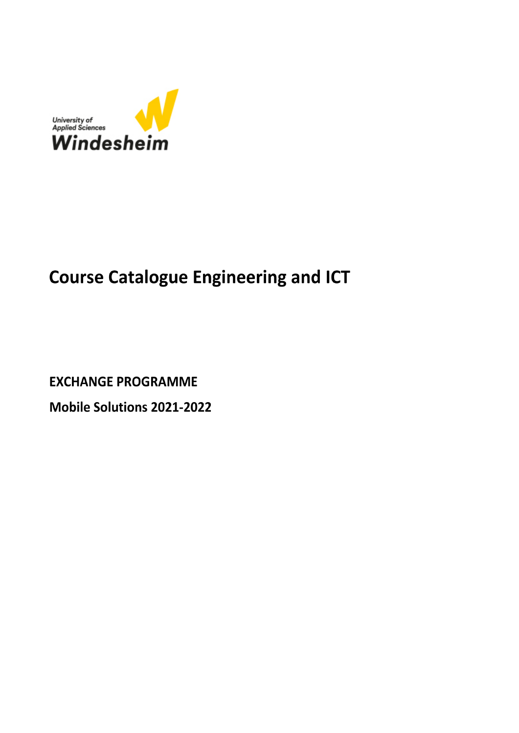

## **Course Catalogue Engineering and ICT**

**EXCHANGE PROGRAMME** 

Mobile Solutions 2021-2022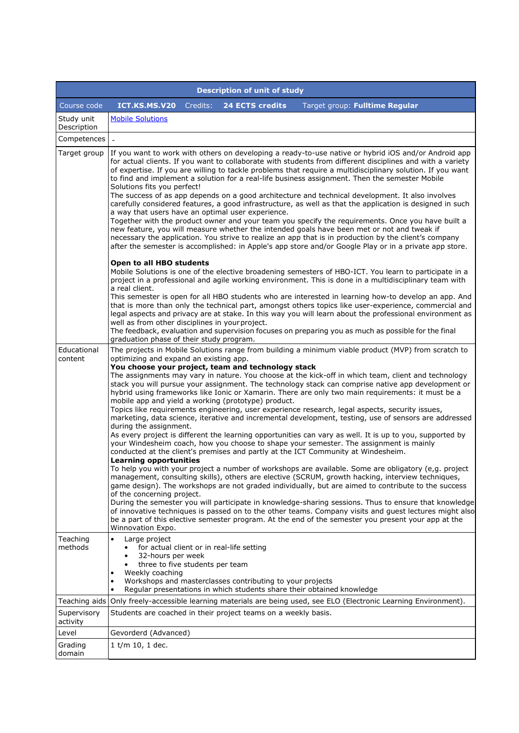| <b>Description of unit of study</b> |                                                                                                                                                                                                                                                                                                                                                                                                                                                                                                                                                                                                                                                                                                                                                                                                                                                                                                                                                                                                                                                                                                                                                                                                                                                                                                                                                                                                                                                                                                                                                                                                                                                  |          |                                                                                                           |                                                                                                                                                                                                                                                                                                                                                                                                                                                                                                                                                                                                                                                                                                                                                                                                                                                                                                                                                                                                                                                                                                                                                                                                                                                                                                                                                                                                                                                                     |  |  |  |  |
|-------------------------------------|--------------------------------------------------------------------------------------------------------------------------------------------------------------------------------------------------------------------------------------------------------------------------------------------------------------------------------------------------------------------------------------------------------------------------------------------------------------------------------------------------------------------------------------------------------------------------------------------------------------------------------------------------------------------------------------------------------------------------------------------------------------------------------------------------------------------------------------------------------------------------------------------------------------------------------------------------------------------------------------------------------------------------------------------------------------------------------------------------------------------------------------------------------------------------------------------------------------------------------------------------------------------------------------------------------------------------------------------------------------------------------------------------------------------------------------------------------------------------------------------------------------------------------------------------------------------------------------------------------------------------------------------------|----------|-----------------------------------------------------------------------------------------------------------|---------------------------------------------------------------------------------------------------------------------------------------------------------------------------------------------------------------------------------------------------------------------------------------------------------------------------------------------------------------------------------------------------------------------------------------------------------------------------------------------------------------------------------------------------------------------------------------------------------------------------------------------------------------------------------------------------------------------------------------------------------------------------------------------------------------------------------------------------------------------------------------------------------------------------------------------------------------------------------------------------------------------------------------------------------------------------------------------------------------------------------------------------------------------------------------------------------------------------------------------------------------------------------------------------------------------------------------------------------------------------------------------------------------------------------------------------------------------|--|--|--|--|
| Course code                         | ICT.KS.MS.V20                                                                                                                                                                                                                                                                                                                                                                                                                                                                                                                                                                                                                                                                                                                                                                                                                                                                                                                                                                                                                                                                                                                                                                                                                                                                                                                                                                                                                                                                                                                                                                                                                                    | Credits: | 24 ECTS credits                                                                                           | Target group: Fulltime Regular                                                                                                                                                                                                                                                                                                                                                                                                                                                                                                                                                                                                                                                                                                                                                                                                                                                                                                                                                                                                                                                                                                                                                                                                                                                                                                                                                                                                                                      |  |  |  |  |
| Study unit<br>Description           | <b>Mobile Solutions</b>                                                                                                                                                                                                                                                                                                                                                                                                                                                                                                                                                                                                                                                                                                                                                                                                                                                                                                                                                                                                                                                                                                                                                                                                                                                                                                                                                                                                                                                                                                                                                                                                                          |          |                                                                                                           |                                                                                                                                                                                                                                                                                                                                                                                                                                                                                                                                                                                                                                                                                                                                                                                                                                                                                                                                                                                                                                                                                                                                                                                                                                                                                                                                                                                                                                                                     |  |  |  |  |
| Competences                         | $\overline{a}$                                                                                                                                                                                                                                                                                                                                                                                                                                                                                                                                                                                                                                                                                                                                                                                                                                                                                                                                                                                                                                                                                                                                                                                                                                                                                                                                                                                                                                                                                                                                                                                                                                   |          |                                                                                                           |                                                                                                                                                                                                                                                                                                                                                                                                                                                                                                                                                                                                                                                                                                                                                                                                                                                                                                                                                                                                                                                                                                                                                                                                                                                                                                                                                                                                                                                                     |  |  |  |  |
| Target group                        | If you want to work with others on developing a ready-to-use native or hybrid iOS and/or Android app<br>for actual clients. If you want to collaborate with students from different disciplines and with a variety<br>of expertise. If you are willing to tackle problems that require a multidisciplinary solution. If you want<br>to find and implement a solution for a real-life business assignment. Then the semester Mobile<br>Solutions fits you perfect!<br>The success of as app depends on a good architecture and technical development. It also involves<br>carefully considered features, a good infrastructure, as well as that the application is designed in such<br>a way that users have an optimal user experience.<br>Together with the product owner and your team you specify the requirements. Once you have built a<br>new feature, you will measure whether the intended goals have been met or not and tweak if<br>necessary the application. You strive to realize an app that is in production by the client's company<br>after the semester is accomplished: in Apple's app store and/or Google Play or in a private app store.<br>Open to all HBO students<br>Mobile Solutions is one of the elective broadening semesters of HBO-ICT. You learn to participate in a<br>project in a professional and agile working environment. This is done in a multidisciplinary team with<br>a real client.<br>This semester is open for all HBO students who are interested in learning how-to develop an app. And<br>that is more than only the technical part, amongst others topics like user-experience, commercial and |          |                                                                                                           |                                                                                                                                                                                                                                                                                                                                                                                                                                                                                                                                                                                                                                                                                                                                                                                                                                                                                                                                                                                                                                                                                                                                                                                                                                                                                                                                                                                                                                                                     |  |  |  |  |
|                                     | legal aspects and privacy are at stake. In this way you will learn about the professional environment as<br>well as from other disciplines in your project.<br>The feedback, evaluation and supervision focuses on preparing you as much as possible for the final<br>graduation phase of their study program.                                                                                                                                                                                                                                                                                                                                                                                                                                                                                                                                                                                                                                                                                                                                                                                                                                                                                                                                                                                                                                                                                                                                                                                                                                                                                                                                   |          |                                                                                                           |                                                                                                                                                                                                                                                                                                                                                                                                                                                                                                                                                                                                                                                                                                                                                                                                                                                                                                                                                                                                                                                                                                                                                                                                                                                                                                                                                                                                                                                                     |  |  |  |  |
| Educational                         | The projects in Mobile Solutions range from building a minimum viable product (MVP) from scratch to                                                                                                                                                                                                                                                                                                                                                                                                                                                                                                                                                                                                                                                                                                                                                                                                                                                                                                                                                                                                                                                                                                                                                                                                                                                                                                                                                                                                                                                                                                                                              |          |                                                                                                           |                                                                                                                                                                                                                                                                                                                                                                                                                                                                                                                                                                                                                                                                                                                                                                                                                                                                                                                                                                                                                                                                                                                                                                                                                                                                                                                                                                                                                                                                     |  |  |  |  |
| content                             | optimizing and expand an existing app.<br>during the assignment.<br><b>Learning opportunities</b><br>of the concerning project.<br>Winnovation Expo.                                                                                                                                                                                                                                                                                                                                                                                                                                                                                                                                                                                                                                                                                                                                                                                                                                                                                                                                                                                                                                                                                                                                                                                                                                                                                                                                                                                                                                                                                             |          | You choose your project, team and technology stack<br>mobile app and yield a working (prototype) product. | The assignments may vary in nature. You choose at the kick-off in which team, client and technology<br>stack you will pursue your assignment. The technology stack can comprise native app development or<br>hybrid using frameworks like Ionic or Xamarin. There are only two main requirements: it must be a<br>Topics like requirements engineering, user experience research, legal aspects, security issues,<br>marketing, data science, iterative and incremental development, testing, use of sensors are addressed<br>As every project is different the learning opportunities can vary as well. It is up to you, supported by<br>your Windesheim coach, how you choose to shape your semester. The assignment is mainly<br>conducted at the client's premises and partly at the ICT Community at Windesheim.<br>To help you with your project a number of workshops are available. Some are obligatory (e,g. project<br>management, consulting skills), others are elective (SCRUM, growth hacking, interview techniques,<br>game design). The workshops are not graded individually, but are aimed to contribute to the success<br>During the semester you will participate in knowledge-sharing sessions. Thus to ensure that knowledge<br>of innovative techniques is passed on to the other teams. Company visits and guest lectures might also<br>be a part of this elective semester program. At the end of the semester you present your app at the |  |  |  |  |
| Teaching<br>methods                 | Large project<br>$\bullet$<br>for actual client or in real-life setting<br>32-hours per week<br>three to five students per team<br>$\bullet$<br>Weekly coaching<br>٠<br>٠<br>٠                                                                                                                                                                                                                                                                                                                                                                                                                                                                                                                                                                                                                                                                                                                                                                                                                                                                                                                                                                                                                                                                                                                                                                                                                                                                                                                                                                                                                                                                   |          | Workshops and masterclasses contributing to your projects                                                 | Regular presentations in which students share their obtained knowledge                                                                                                                                                                                                                                                                                                                                                                                                                                                                                                                                                                                                                                                                                                                                                                                                                                                                                                                                                                                                                                                                                                                                                                                                                                                                                                                                                                                              |  |  |  |  |
|                                     |                                                                                                                                                                                                                                                                                                                                                                                                                                                                                                                                                                                                                                                                                                                                                                                                                                                                                                                                                                                                                                                                                                                                                                                                                                                                                                                                                                                                                                                                                                                                                                                                                                                  |          |                                                                                                           | Teaching aids Only freely-accessible learning materials are being used, see ELO (Electronic Learning Environment).                                                                                                                                                                                                                                                                                                                                                                                                                                                                                                                                                                                                                                                                                                                                                                                                                                                                                                                                                                                                                                                                                                                                                                                                                                                                                                                                                  |  |  |  |  |
| Supervisory<br>activity             |                                                                                                                                                                                                                                                                                                                                                                                                                                                                                                                                                                                                                                                                                                                                                                                                                                                                                                                                                                                                                                                                                                                                                                                                                                                                                                                                                                                                                                                                                                                                                                                                                                                  |          | Students are coached in their project teams on a weekly basis.                                            |                                                                                                                                                                                                                                                                                                                                                                                                                                                                                                                                                                                                                                                                                                                                                                                                                                                                                                                                                                                                                                                                                                                                                                                                                                                                                                                                                                                                                                                                     |  |  |  |  |
| Level                               | Gevorderd (Advanced)                                                                                                                                                                                                                                                                                                                                                                                                                                                                                                                                                                                                                                                                                                                                                                                                                                                                                                                                                                                                                                                                                                                                                                                                                                                                                                                                                                                                                                                                                                                                                                                                                             |          |                                                                                                           |                                                                                                                                                                                                                                                                                                                                                                                                                                                                                                                                                                                                                                                                                                                                                                                                                                                                                                                                                                                                                                                                                                                                                                                                                                                                                                                                                                                                                                                                     |  |  |  |  |
| Grading<br>domain                   | $1$ t/m 10, 1 dec.                                                                                                                                                                                                                                                                                                                                                                                                                                                                                                                                                                                                                                                                                                                                                                                                                                                                                                                                                                                                                                                                                                                                                                                                                                                                                                                                                                                                                                                                                                                                                                                                                               |          |                                                                                                           |                                                                                                                                                                                                                                                                                                                                                                                                                                                                                                                                                                                                                                                                                                                                                                                                                                                                                                                                                                                                                                                                                                                                                                                                                                                                                                                                                                                                                                                                     |  |  |  |  |